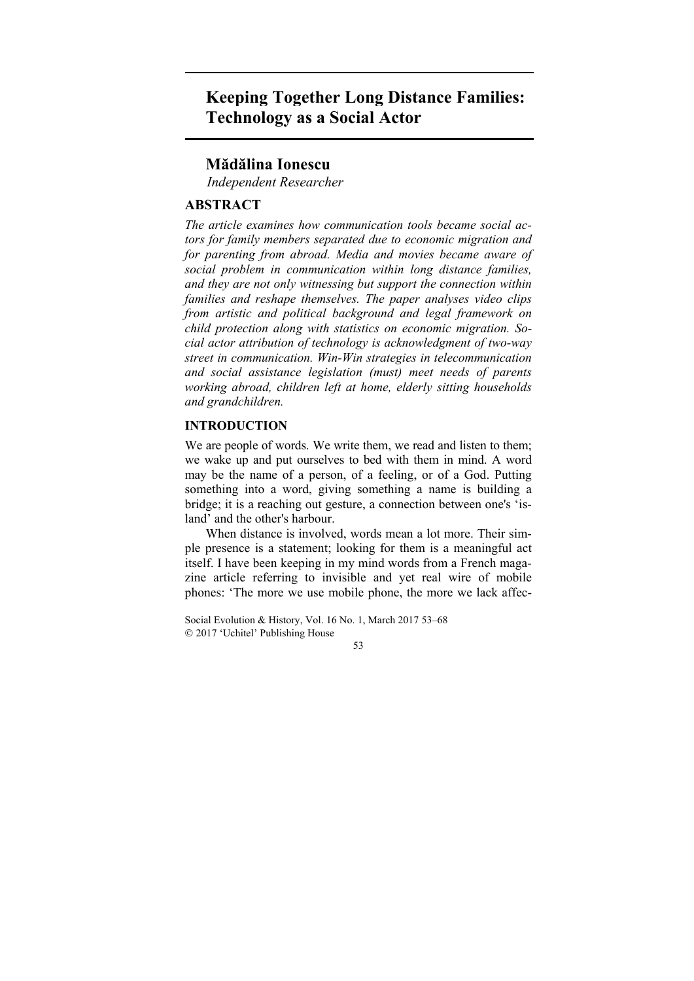# **Keeping Together Long Distance Families: Technology as a Social Actor**

# **Mădălina Ionescu**

*Independent Researcher* 

# **ABSTRACT**

*The article examines how communication tools became social actors for family members separated due to economic migration and for parenting from abroad. Media and movies became aware of social problem in communication within long distance families, and they are not only witnessing but support the connection within families and reshape themselves. The paper analyses video clips from artistic and political background and legal framework on child protection along with statistics on economic migration. Social actor attribution of technology is acknowledgment of two-way street in communication. Win-Win strategies in telecommunication and social assistance legislation (must) meet needs of parents working abroad, children left at home, elderly sitting households and grandchildren.* 

# **INTRODUCTION**

We are people of words. We write them, we read and listen to them; we wake up and put ourselves to bed with them in mind. A word may be the name of a person, of a feeling, or of a God. Putting something into a word, giving something a name is building a bridge; it is a reaching out gesture, a connection between one's 'island' and the other's harbour.

When distance is involved, words mean a lot more. Their simple presence is a statement; looking for them is a meaningful act itself. I have been keeping in my mind words from a French magazine article referring to invisible and yet real wire of mobile phones: 'The more we use mobile phone, the more we lack affec-

Social Evolution & History, Vol. 16 No. 1, March 2017 53–68 2017 'Uchitel' Publishing House

53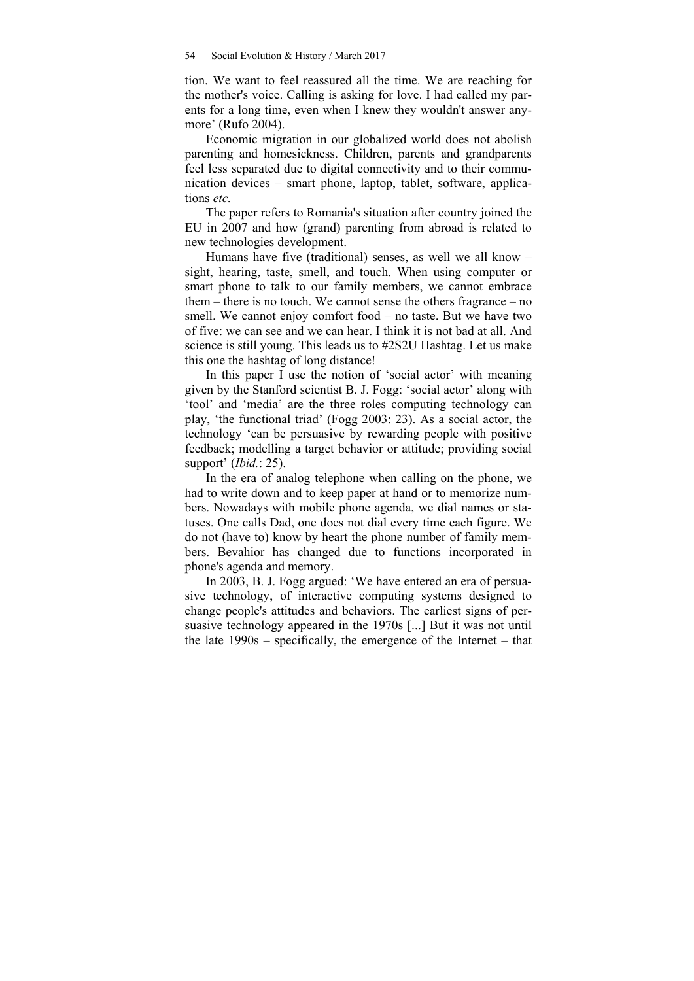tion. We want to feel reassured all the time. We are reaching for the mother's voice. Calling is asking for love. I had called my parents for a long time, even when I knew they wouldn't answer anymore' (Rufo 2004).

Economic migration in our globalized world does not abolish parenting and homesickness. Children, parents and grandparents feel less separated due to digital connectivity and to their communication devices – smart phone, laptop, tablet, software, applications *etc.*

The paper refers to Romania's situation after country joined the EU in 2007 and how (grand) parenting from abroad is related to new technologies development.

Humans have five (traditional) senses, as well we all know – sight, hearing, taste, smell, and touch. When using computer or smart phone to talk to our family members, we cannot embrace them – there is no touch. We cannot sense the others fragrance – no smell. We cannot enjoy comfort food – no taste. But we have two of five: we can see and we can hear. I think it is not bad at all. And science is still young. This leads us to #2S2U Hashtag. Let us make this one the hashtag of long distance!

In this paper I use the notion of 'social actor' with meaning given by the Stanford scientist B. J. Fogg: 'social actor' along with 'tool' and 'media' are the three roles computing technology can play, 'the functional triad' (Fogg 2003: 23). As a social actor, the technology 'can be persuasive by rewarding people with positive feedback; modelling a target behavior or attitude; providing social support' (*Ibid.*: 25).

In the era of analog telephone when calling on the phone, we had to write down and to keep paper at hand or to memorize numbers. Nowadays with mobile phone agenda, we dial names or statuses. One calls Dad, one does not dial every time each figure. We do not (have to) know by heart the phone number of family members. Bevahior has changed due to functions incorporated in phone's agenda and memory.

In 2003, B. J. Fogg argued: 'We have entered an era of persuasive technology, of interactive computing systems designed to change people's attitudes and behaviors. The earliest signs of persuasive technology appeared in the 1970s [...] But it was not until the late 1990s – specifically, the emergence of the Internet – that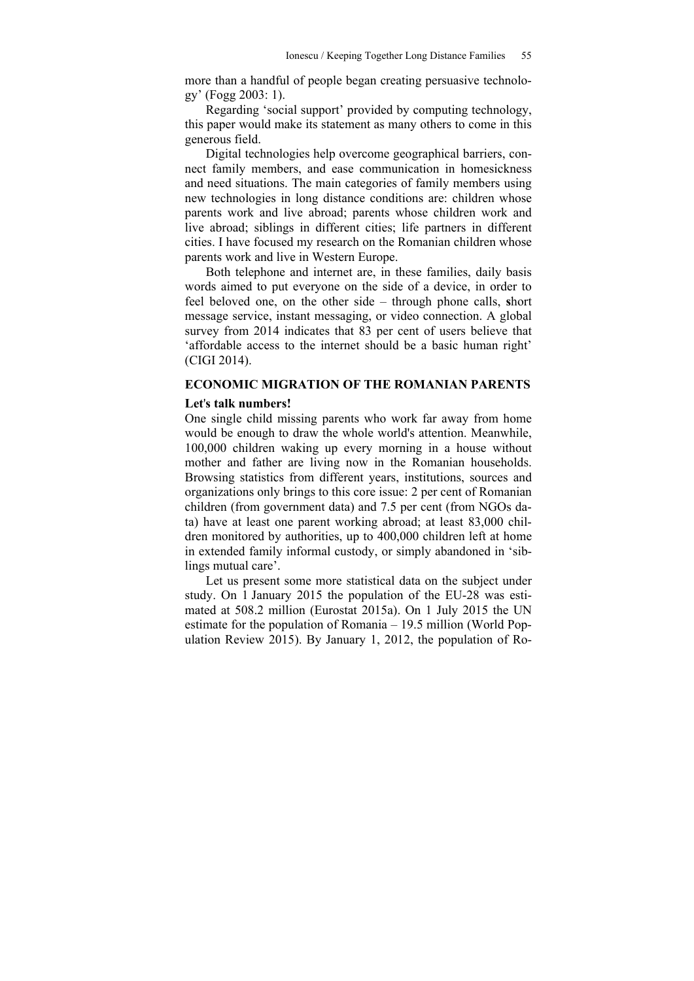more than a handful of people began creating persuasive technology' (Fogg 2003: 1).

Regarding 'social support' provided by computing technology, this paper would make its statement as many others to come in this generous field.

Digital technologies help overcome geographical barriers, connect family members, and ease communication in homesickness and need situations. The main categories of family members using new technologies in long distance conditions are: children whose parents work and live abroad; parents whose children work and live abroad; siblings in different cities; life partners in different cities. I have focused my research on the Romanian children whose parents work and live in Western Europe.

Both telephone and internet are, in these families, daily basis words aimed to put everyone on the side of a device, in order to feel beloved one, on the other side – through phone calls, **s**hort message service, instant messaging, or video connection. A global survey from 2014 indicates that 83 per cent of users believe that 'affordable access to the internet should be a basic human right' (CIGI 2014).

# **ECONOMIC MIGRATION OF THE ROMANIAN PARENTS**

### **Let**'**s talk numbers!**

One single child missing parents who work far away from home would be enough to draw the whole world's attention. Meanwhile, 100,000 children waking up every morning in a house without mother and father are living now in the Romanian households. Browsing statistics from different years, institutions, sources and organizations only brings to this core issue: 2 per cent of Romanian children (from government data) and 7.5 per cent (from NGOs data) have at least one parent working abroad; at least 83,000 children monitored by authorities, up to 400,000 children left at home in extended family informal custody, or simply abandoned in 'siblings mutual care'.

Let us present some more statistical data on the subject under study. On 1 January 2015 the population of the EU-28 was estimated at 508.2 million (Eurostat 2015a). On 1 July 2015 the UN estimate for the population of Romania – 19.5 million (World Population Review 2015). By January 1, 2012, the population of Ro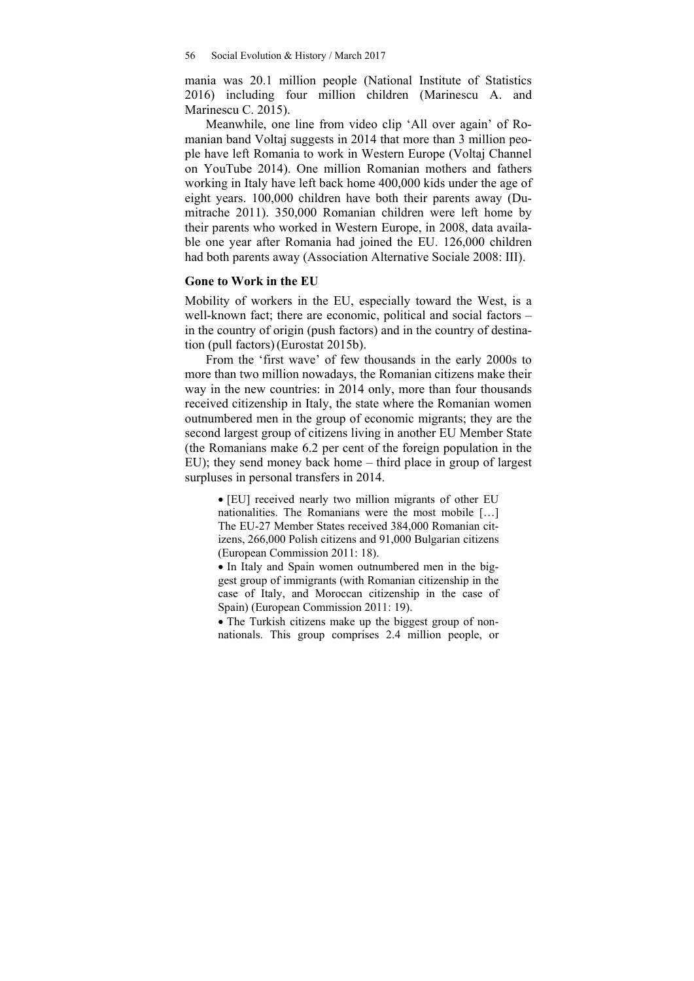mania was 20.1 million people (National Institute of Statistics 2016) including four million children (Marinescu A. and Marinescu C. 2015).

Meanwhile, one line from video clip 'All over again' of Romanian band Voltaj suggests in 2014 that more than 3 million people have left Romania to work in Western Europe (Voltaj Channel on YouTube 2014). One million Romanian mothers and fathers working in Italy have left back home 400,000 kids under the age of eight years. 100,000 children have both their parents away (Dumitrache 2011). 350,000 Romanian children were left home by their parents who worked in Western Europe, in 2008, data available one year after Romania had joined the EU. 126,000 children had both parents away (Association Alternative Sociale 2008: III).

# **Gone to Work in the EU**

Mobility of workers in the EU, especially toward the West, is a well-known fact; there are economic, political and social factors – in the country of origin (push factors) and in the country of destination (pull factors)(Eurostat 2015b).

From the 'first wave' of few thousands in the early 2000s to more than two million nowadays, the Romanian citizens make their way in the new countries: in 2014 only, more than four thousands received citizenship in Italy, the state where the Romanian women outnumbered men in the group of economic migrants; they are the second largest group of citizens living in another EU Member State (the Romanians make 6.2 per cent of the foreign population in the EU); they send money back home – third place in group of largest surpluses in personal transfers in 2014.

 [EU] received nearly two million migrants of other EU nationalities. The Romanians were the most mobile […] The EU-27 Member States received 384,000 Romanian citizens, 266,000 Polish citizens and 91,000 Bulgarian citizens (European Commission 2011: 18).

 In Italy and Spain women outnumbered men in the biggest group of immigrants (with Romanian citizenship in the case of Italy, and Moroccan citizenship in the case of Spain) (European Commission 2011: 19).

• The Turkish citizens make up the biggest group of nonnationals. This group comprises 2.4 million people, or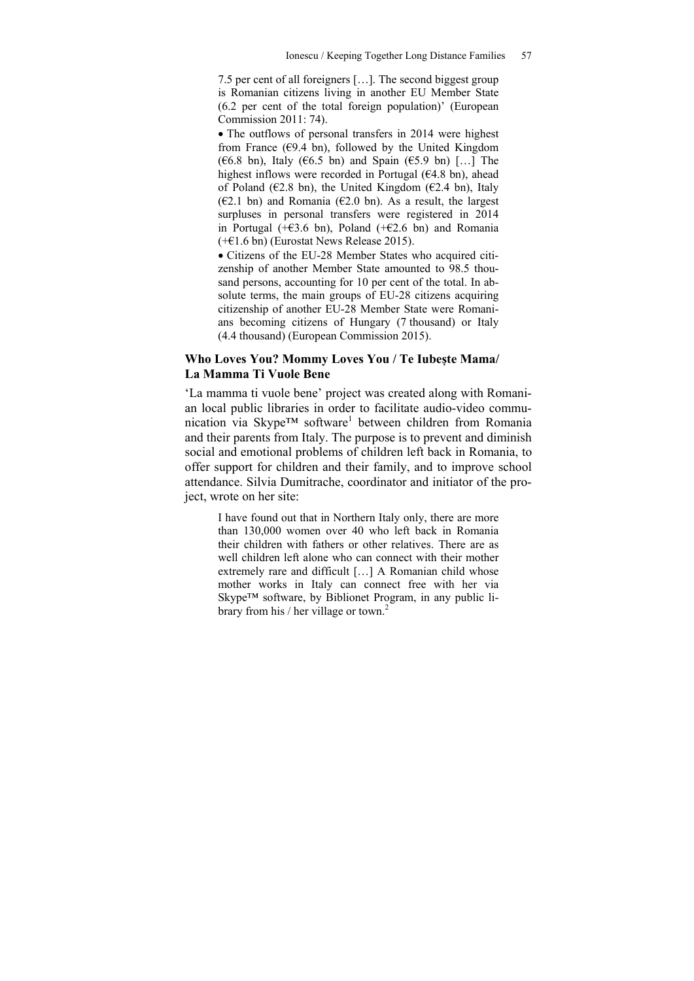7.5 per cent of all foreigners […]. The second biggest group is Romanian citizens living in another EU Member State (6.2 per cent of the total foreign population)' (European Commission 2011: 74).

• The outflows of personal transfers in 2014 were highest from France ( $\epsilon$ 9.4 bn), followed by the United Kingdom ( $\epsilon$ 6.8 bn), Italy ( $\epsilon$ 6.5 bn) and Spain ( $\epsilon$ 5.9 bn) […] The highest inflows were recorded in Portugal (€4.8 bn), ahead of Poland ( $E2.8$  bn), the United Kingdom ( $E2.4$  bn), Italy (€2.1 bn) and Romania (€2.0 bn). As a result, the largest surpluses in personal transfers were registered in 2014 in Portugal ( $+$ €3.6 bn), Poland ( $+$ €2.6 bn) and Romania (+€1.6 bn) (Eurostat News Release 2015).

 Citizens of the EU-28 Member States who acquired citizenship of another Member State amounted to 98.5 thousand persons, accounting for 10 per cent of the total. In absolute terms, the main groups of EU-28 citizens acquiring citizenship of another EU-28 Member State were Romanians becoming citizens of Hungary (7 thousand) or Italy (4.4 thousand) (European Commission 2015).

# **Who Loves You? Mommy Loves You / Te Iubește Mama/ La Mamma Ti Vuole Bene**

'La mamma ti vuole bene' project was created along with Romanian local public libraries in order to facilitate audio-video communication via Skype™ software<sup>1</sup> between children from Romania and their parents from Italy. The purpose is to prevent and diminish social and emotional problems of children left back in Romania, to offer support for children and their family, and to improve school attendance. Silvia Dumitrache, coordinator and initiator of the project, wrote on her site:

I have found out that in Northern Italy only, there are more than 130,000 women over 40 who left back in Romania their children with fathers or other relatives. There are as well children left alone who can connect with their mother extremely rare and difficult […] A Romanian child whose mother works in Italy can connect free with her via Skype™ software, by Biblionet Program, in any public library from his / her village or town.<sup>2</sup>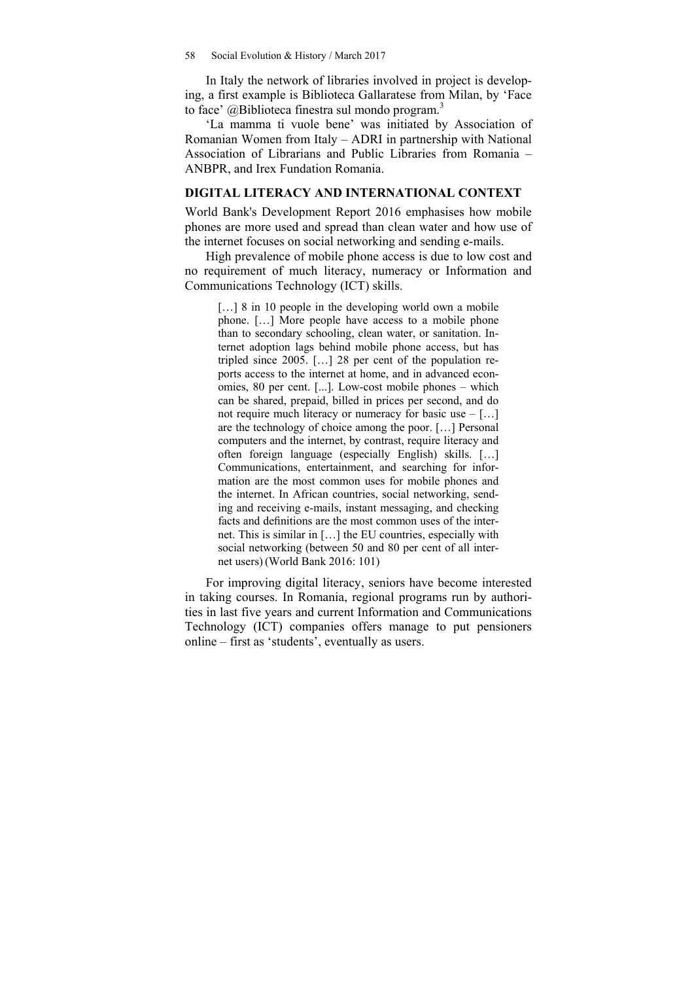In Italy the network of libraries involved in project is developing, a first example is Biblioteca Gallaratese from Milan, by 'Face to face'  $@$ Biblioteca finestra sul mondo program.<sup>3</sup>

'La mamma ti vuole bene' was initiated by Association of Romanian Women from Italy – ADRI in partnership with National Association of Librarians and Public Libraries from Romania – ANBPR, and Irex Fundation Romania.

#### **DIGITAL LITERACY AND INTERNATIONAL CONTEXT**

World Bank's Development Report 2016 emphasises how mobile phones are more used and spread than clean water and how use of the internet focuses on social networking and sending e-mails.

High prevalence of mobile phone access is due to low cost and no requirement of much literacy, numeracy or Information and Communications Technology (ICT) skills.

[...] 8 in 10 people in the developing world own a mobile phone. […] More people have access to a mobile phone than to secondary schooling, clean water, or sanitation. Internet adoption lags behind mobile phone access, but has tripled since 2005. […] 28 per cent of the population reports access to the internet at home, and in advanced economies, 80 per cent. [...]. Low-cost mobile phones – which can be shared, prepaid, billed in prices per second, and do not require much literacy or numeracy for basic use – […] are the technology of choice among the poor. […] Personal computers and the internet, by contrast, require literacy and often foreign language (especially English) skills. […] Communications, entertainment, and searching for information are the most common uses for mobile phones and the internet. In African countries, social networking, sending and receiving e-mails, instant messaging, and checking facts and definitions are the most common uses of the internet. This is similar in […] the EU countries, especially with social networking (between 50 and 80 per cent of all internet users)(World Bank 2016: 101)

For improving digital literacy, seniors have become interested in taking courses. In Romania, regional programs run by authorities in last five years and current Information and Communications Technology (ICT) companies offers manage to put pensioners online – first as 'students', eventually as users.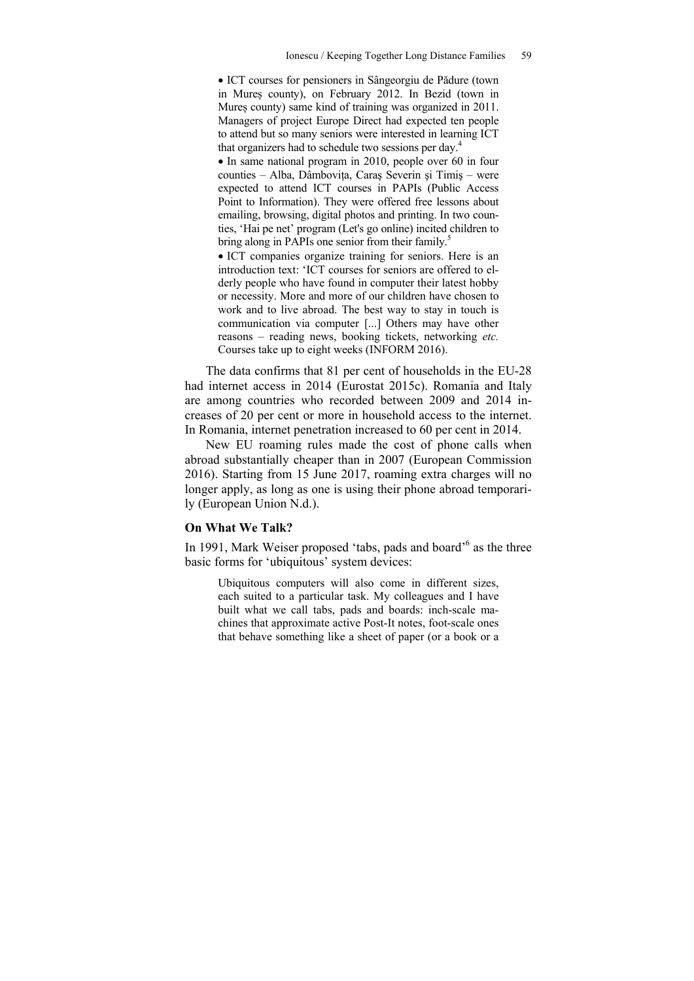ICT courses for pensioners in Sângeorgiu de Pădure (town in Mureș county), on February 2012. In Bezid (town in Mureș county) same kind of training was organized in 2011. Managers of project Europe Direct had expected ten people to attend but so many seniors were interested in learning ICT that organizers had to schedule two sessions per day.4

• In same national program in 2010, people over 60 in four counties – Alba, Dâmbovița, Caraş Severin şi Timiş – were expected to attend ICT courses in PAPIs (Public Access Point to Information). They were offered free lessons about emailing, browsing, digital photos and printing. In two counties, 'Hai pe net' program (Let's go online) incited children to bring along in PAPIs one senior from their family.<sup>5</sup>

 ICT companies organize training for seniors. Here is an introduction text: 'ICT courses for seniors are offered to elderly people who have found in computer their latest hobby or necessity. More and more of our children have chosen to work and to live abroad. The best way to stay in touch is communication via computer [...] Others may have other reasons – reading news, booking tickets, networking *etc.* Courses take up to eight weeks (INFORM 2016).

The data confirms that 81 per cent of households in the EU-28 had internet access in 2014 (Eurostat 2015c). Romania and Italy are among countries who recorded between 2009 and 2014 increases of 20 per cent or more in household access to the internet. In Romania, internet penetration increased to 60 per cent in 2014.

New EU roaming rules made the cost of phone calls when abroad substantially cheaper than in 2007 (European Commission 2016). Starting from 15 June 2017, roaming extra charges will no longer apply, as long as one is using their phone abroad temporarily (European Union N.d.).

### **On What We Talk?**

In 1991, Mark Weiser proposed 'tabs, pads and board'<sup>6</sup> as the three basic forms for 'ubiquitous' system devices:

Ubiquitous computers will also come in different sizes, each suited to a particular task. My colleagues and I have built what we call tabs, pads and boards: inch-scale machines that approximate active Post-It notes, foot-scale ones that behave something like a sheet of paper (or a book or a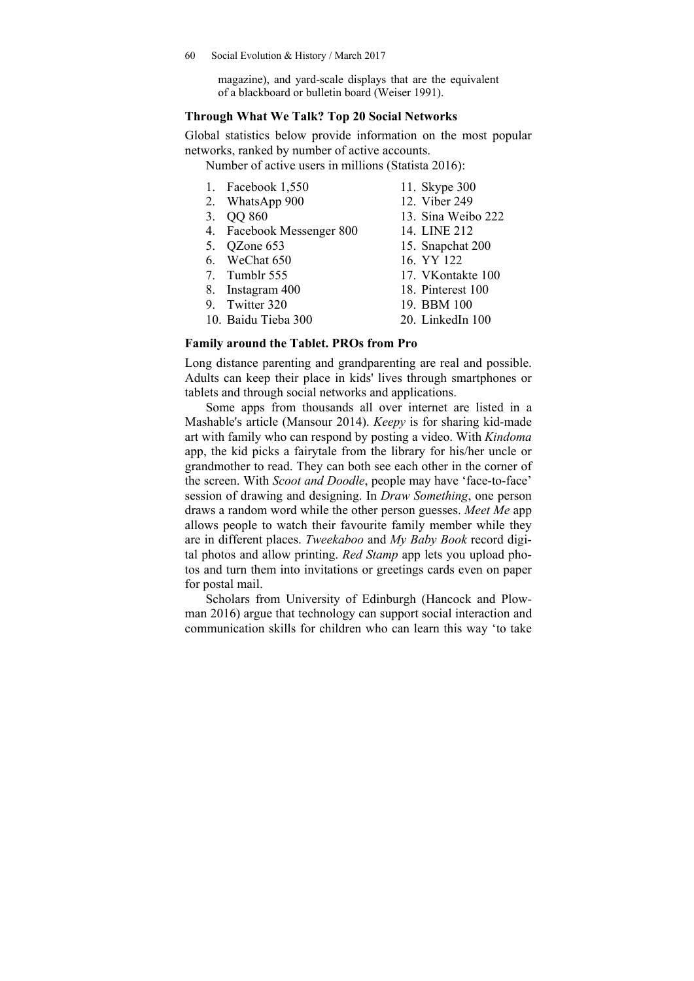magazine), and yard-scale displays that are the equivalent of a blackboard or bulletin board (Weiser 1991).

### **Through What We Talk? Top 20 Social Networks**

Global statistics below provide information on the most popular networks, ranked by number of active accounts.

Number of active users in millions (Statista 2016):

- 1. Facebook 1,550 2. WhatsApp 900
- 11. Skype 300
- 
- 3. QQ 860
- 4. Facebook Messenger 800
- 5. QZone 653
- 6. WeChat 650
- 7. Tumblr 555
- 8. Instagram 400
- 9. Twitter 320
- 10. Baidu Tieba 300
- 12. Viber 249
- 13. Sina Weibo 222
- 14. LINE 212
- 15. Snapchat 200
- 16. YY 122
- 17. VKontakte 100
- 18. Pinterest 100
- 19. BBM 100 20. LinkedIn 100
- 
- **Family around the Tablet. PROs from Pro**

Long distance parenting and grandparenting are real and possible. Adults can keep their place in kids' lives through smartphones or tablets and through social networks and applications.

Some apps from thousands all over internet are listed in a Mashable's article (Mansour 2014). *Keepy* is for sharing kid-made art with family who can respond by posting a video. With *Kindoma* app, the kid picks a fairytale from the library for his/her uncle or grandmother to read. They can both see each other in the corner of the screen. With *Scoot and Doodle*, people may have 'face-to-face' session of drawing and designing. In *Draw Something*, one person draws a random word while the other person guesses. *Meet Me* app allows people to watch their favourite family member while they are in different places. *Tweekaboo* and *My Baby Book* record digital photos and allow printing. *Red Stamp* app lets you upload photos and turn them into invitations or greetings cards even on paper for postal mail.

Scholars from University of Edinburgh (Hancock and Plowman 2016) argue that technology can support social interaction and communication skills for children who can learn this way 'to take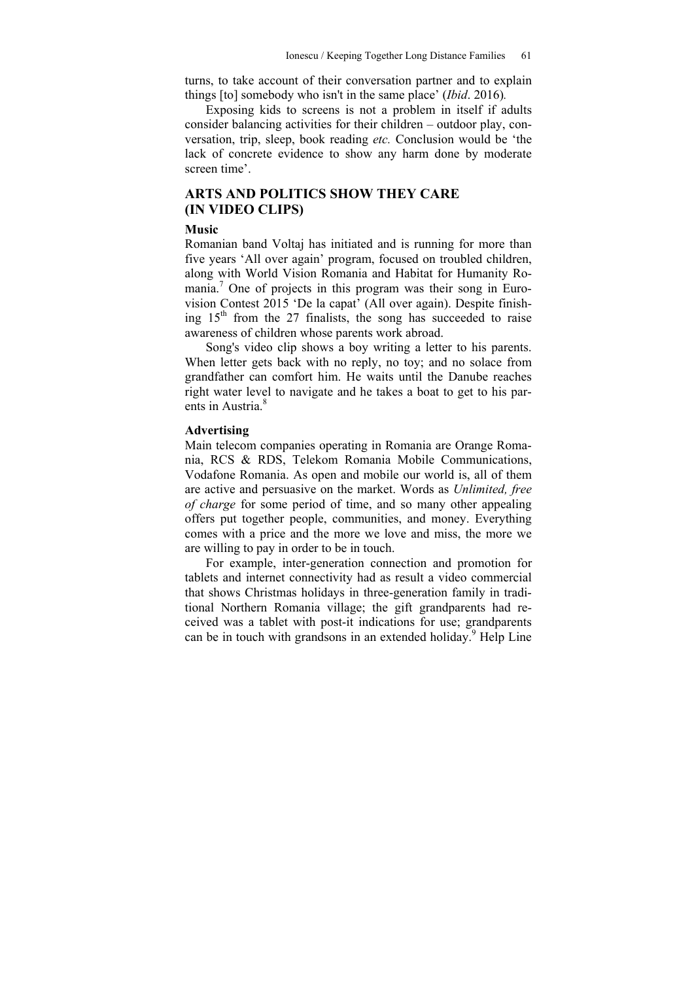turns, to take account of their conversation partner and to explain things [to] somebody who isn't in the same place' (*Ibid*. 2016)*.* 

Exposing kids to screens is not a problem in itself if adults consider balancing activities for their children – outdoor play, conversation, trip, sleep, book reading *etc.* Conclusion would be 'the lack of concrete evidence to show any harm done by moderate screen time'.

# **ARTS AND POLITICS SHOW THEY CARE (IN VIDEO CLIPS)**

#### **Music**

Romanian band Voltaj has initiated and is running for more than five years 'All over again' program, focused on troubled children, along with World Vision Romania and Habitat for Humanity Romania.<sup>7</sup> One of projects in this program was their song in Eurovision Contest 2015 'De la capat' (All over again). Despite finishing  $15<sup>th</sup>$  from the 27 finalists, the song has succeeded to raise awareness of children whose parents work abroad.

Song's video clip shows a boy writing a letter to his parents. When letter gets back with no reply, no toy; and no solace from grandfather can comfort him. He waits until the Danube reaches right water level to navigate and he takes a boat to get to his parents in Austria.<sup>8</sup>

#### **Advertising**

Main telecom companies operating in Romania are Orange Romania, RCS & RDS, Telekom Romania Mobile Communications, Vodafone Romania. As open and mobile our world is, all of them are active and persuasive on the market. Words as *Unlimited, free of charge* for some period of time, and so many other appealing offers put together people, communities, and money. Everything comes with a price and the more we love and miss, the more we are willing to pay in order to be in touch.

For example, inter-generation connection and promotion for tablets and internet connectivity had as result a video commercial that shows Christmas holidays in three-generation family in traditional Northern Romania village; the gift grandparents had received was a tablet with post-it indications for use; grandparents can be in touch with grandsons in an extended holiday.<sup>9</sup> Help Line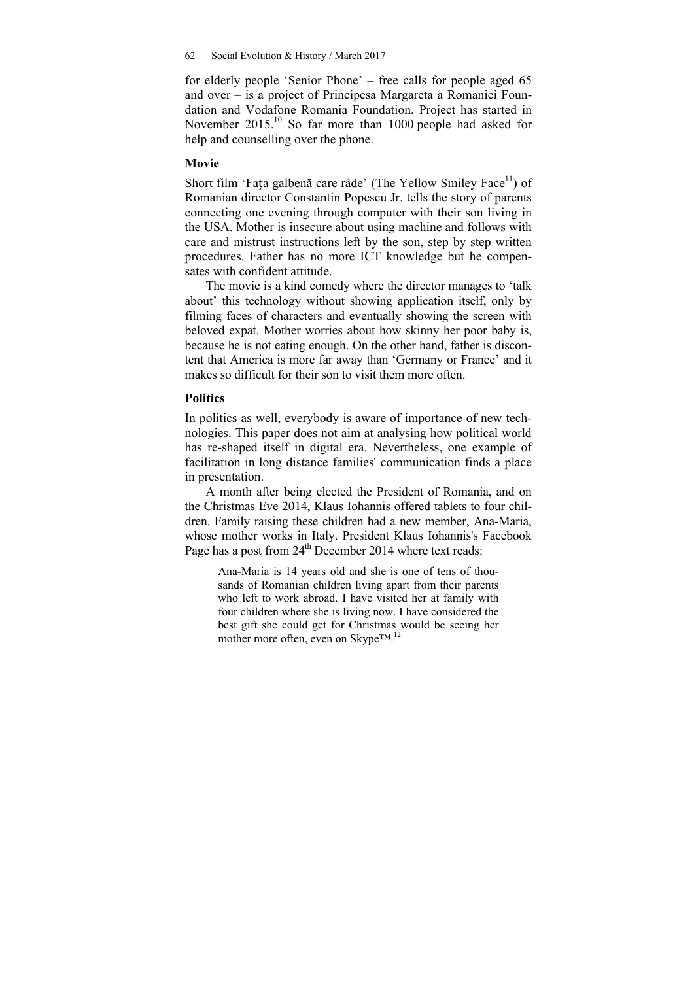for elderly people 'Senior Phone' – free calls for people aged 65 and over – is a project of Principesa Margareta a Romaniei Foundation and Vodafone Romania Foundation. Project has started in November 2015.<sup>10</sup> So far more than 1000 people had asked for help and counselling over the phone.

# **Movie**

Short film 'Fața galbenă care râde' (The Yellow Smiley Face $\rm^{11}$ ) of Romanian director Constantin Popescu Jr. tells the story of parents connecting one evening through computer with their son living in the USA. Mother is insecure about using machine and follows with care and mistrust instructions left by the son, step by step written procedures. Father has no more ICT knowledge but he compensates with confident attitude.

The movie is a kind comedy where the director manages to 'talk about' this technology without showing application itself, only by filming faces of characters and eventually showing the screen with beloved expat. Mother worries about how skinny her poor baby is, because he is not eating enough. On the other hand, father is discontent that America is more far away than 'Germany or France' and it makes so difficult for their son to visit them more often.

#### **Politics**

In politics as well, everybody is aware of importance of new technologies. This paper does not aim at analysing how political world has re-shaped itself in digital era. Nevertheless, one example of facilitation in long distance families' communication finds a place in presentation.

A month after being elected the President of Romania, and on the Christmas Eve 2014, Klaus Iohannis offered tablets to four children. Family raising these children had a new member, Ana-Maria, whose mother works in Italy. President Klaus Iohannis's Facebook Page has a post from  $24<sup>th</sup>$  December 2014 where text reads:

Ana-Maria is 14 years old and she is one of tens of thousands of Romanian children living apart from their parents who left to work abroad. I have visited her at family with four children where she is living now. I have considered the best gift she could get for Christmas would be seeing her mother more often, even on Skype™.12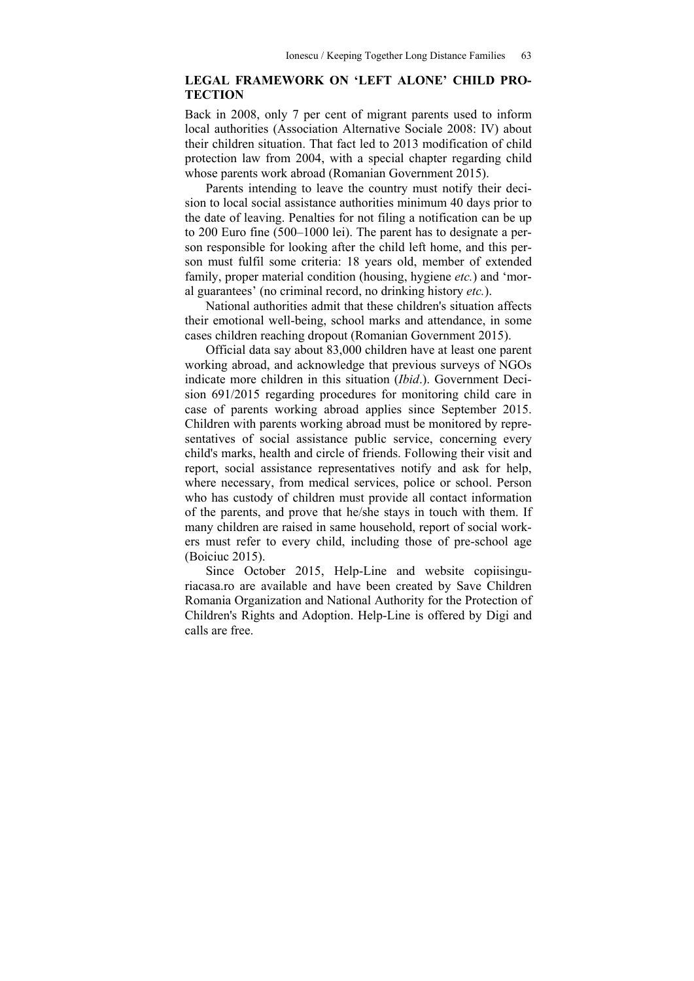# **LEGAL FRAMEWORK ON 'LEFT ALONE' CHILD PRO-TECTION**

Back in 2008, only 7 per cent of migrant parents used to inform local authorities (Association Alternative Sociale 2008: IV) about their children situation. That fact led to 2013 modification of child protection law from 2004, with a special chapter regarding child whose parents work abroad (Romanian Government 2015).

Parents intending to leave the country must notify their decision to local social assistance authorities minimum 40 days prior to the date of leaving. Penalties for not filing a notification can be up to 200 Euro fine (500–1000 lei). The parent has to designate a person responsible for looking after the child left home, and this person must fulfil some criteria: 18 years old, member of extended family, proper material condition (housing, hygiene *etc.*) and 'moral guarantees' (no criminal record, no drinking history *etc.*).

National authorities admit that these children's situation affects their emotional well-being, school marks and attendance, in some cases children reaching dropout (Romanian Government 2015).

Official data say about 83,000 children have at least one parent working abroad, and acknowledge that previous surveys of NGOs indicate more children in this situation (*Ibid*.). Government Decision 691/2015 regarding procedures for monitoring child care in case of parents working abroad applies since September 2015. Children with parents working abroad must be monitored by representatives of social assistance public service, concerning every child's marks, health and circle of friends. Following their visit and report, social assistance representatives notify and ask for help, where necessary, from medical services, police or school. Person who has custody of children must provide all contact information of the parents, and prove that he/she stays in touch with them. If many children are raised in same household, report of social workers must refer to every child, including those of pre-school age (Boiciuc 2015).

Since October 2015, Help-Line and website copiisinguriacasa.ro are available and have been created by Save Children Romania Organization and National Authority for the Protection of Children's Rights and Adoption. Help-Line is offered by Digi and calls are free.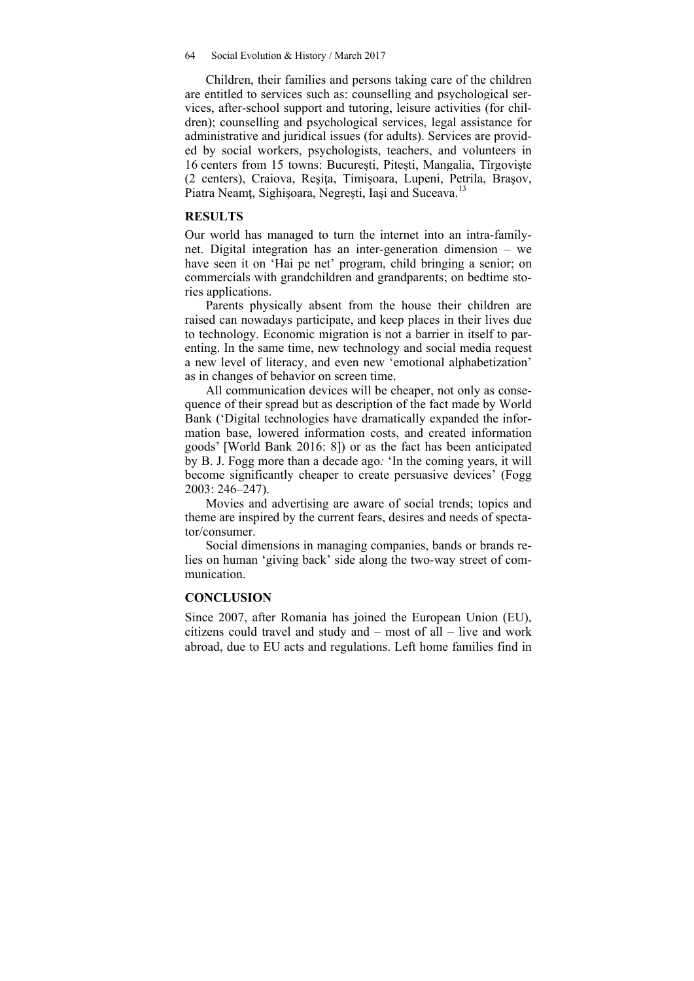64 Social Evolution & History / March 2017

Children, their families and persons taking care of the children are entitled to services such as: counselling and psychological services, after-school support and tutoring, leisure activities (for children); counselling and psychological services, legal assistance for administrative and juridical issues (for adults). Services are provided by social workers, psychologists, teachers, and volunteers in 16 centers from 15 towns: Bucureşti, Piteşti, Mangalia, Tîrgovişte (2 centers), Craiova, Reşiţa, Timişoara, Lupeni, Petrila, Braşov, Piatra Neamt, Sighișoara, Negrești, Iași and Suceava.<sup>13</sup>

#### **RESULTS**

Our world has managed to turn the internet into an intra-familynet. Digital integration has an inter-generation dimension – we have seen it on 'Hai pe net' program, child bringing a senior; on commercials with grandchildren and grandparents; on bedtime stories applications.

Parents physically absent from the house their children are raised can nowadays participate, and keep places in their lives due to technology. Economic migration is not a barrier in itself to parenting. In the same time, new technology and social media request a new level of literacy, and even new 'emotional alphabetization' as in changes of behavior on screen time.

All communication devices will be cheaper, not only as consequence of their spread but as description of the fact made by World Bank ('Digital technologies have dramatically expanded the information base, lowered information costs, and created information goods' [World Bank 2016: 8]) or as the fact has been anticipated by B. J. Fogg more than a decade ago*:* 'In the coming years, it will become significantly cheaper to create persuasive devices' (Fogg 2003: 246–247).

Movies and advertising are aware of social trends; topics and theme are inspired by the current fears, desires and needs of spectator/consumer.

Social dimensions in managing companies, bands or brands relies on human 'giving back' side along the two-way street of communication.

# **CONCLUSION**

Since 2007, after Romania has joined the European Union (EU), citizens could travel and study and – most of all – live and work abroad, due to EU acts and regulations. Left home families find in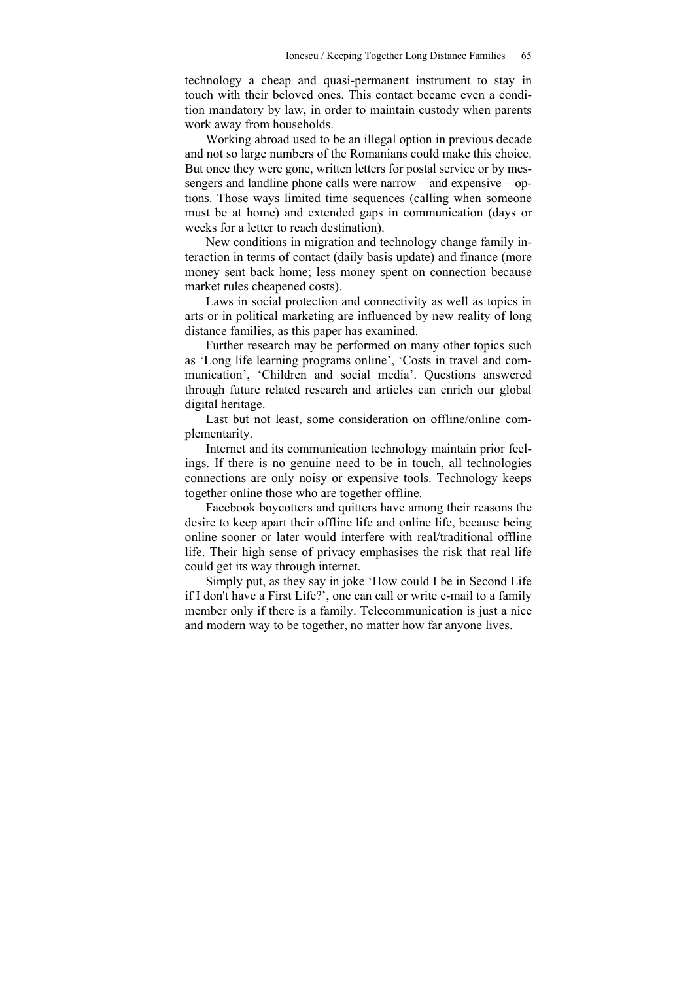technology a cheap and quasi-permanent instrument to stay in touch with their beloved ones. This contact became even a condition mandatory by law, in order to maintain custody when parents work away from households.

Working abroad used to be an illegal option in previous decade and not so large numbers of the Romanians could make this choice. But once they were gone, written letters for postal service or by messengers and landline phone calls were narrow – and expensive – options. Those ways limited time sequences (calling when someone must be at home) and extended gaps in communication (days or weeks for a letter to reach destination).

New conditions in migration and technology change family interaction in terms of contact (daily basis update) and finance (more money sent back home; less money spent on connection because market rules cheapened costs).

Laws in social protection and connectivity as well as topics in arts or in political marketing are influenced by new reality of long distance families, as this paper has examined.

Further research may be performed on many other topics such as 'Long life learning programs online', 'Costs in travel and communication', 'Children and social media'. Questions answered through future related research and articles can enrich our global digital heritage.

Last but not least, some consideration on offline/online complementarity.

Internet and its communication technology maintain prior feelings. If there is no genuine need to be in touch, all technologies connections are only noisy or expensive tools. Technology keeps together online those who are together offline.

Facebook boycotters and quitters have among their reasons the desire to keep apart their offline life and online life, because being online sooner or later would interfere with real/traditional offline life. Their high sense of privacy emphasises the risk that real life could get its way through internet.

Simply put, as they say in joke 'How could I be in Second Life if I don't have a First Life?', one can call or write e-mail to a family member only if there is a family. Telecommunication is just a nice and modern way to be together, no matter how far anyone lives.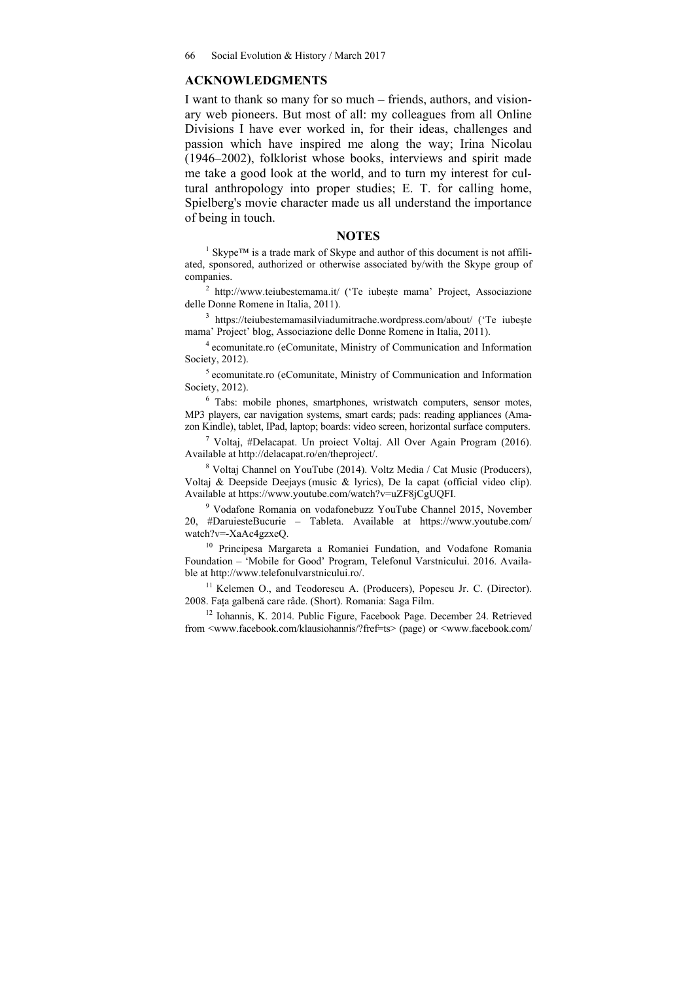#### **ACKNOWLEDGMENTS**

I want to thank so many for so much – friends, authors, and visionary web pioneers. But most of all: my colleagues from all Online Divisions I have ever worked in, for their ideas, challenges and passion which have inspired me along the way; Irina Nicolau (1946–2002), folklorist whose books, interviews and spirit made me take a good look at the world, and to turn my interest for cultural anthropology into proper studies; E. T. for calling home, Spielberg's movie character made us all understand the importance of being in touch.

# **NOTES**

<sup>1</sup> Skype™ is a trade mark of Skype and author of this document is not affiliated, sponsored, authorized or otherwise associated by/with the Skype group of companies.

<sup>2</sup> http://www.teiubestemama.it/ ('Te iubește mama' Project, Associazione delle Donne Romene in Italia, 2011).

<sup>3</sup> https://teiubestemamasilviadumitrache.wordpress.com/about/ ('Te iubește mama' Project' blog, Associazione delle Donne Romene in Italia, 2011).

4 ecomunitate.ro (eComunitate, Ministry of Communication and Information Society, 2012).

5 ecomunitate.ro (eComunitate, Ministry of Communication and Information Society, 2012).

6 Tabs: mobile phones, smartphones, wristwatch computers, sensor motes, MP3 players, car navigation systems, smart cards; pads: reading appliances (Amazon Kindle), tablet, IPad, laptop; boards: video screen, horizontal surface computers.

7 Voltaj, #Delacapat. Un proiect Voltaj. All Over Again Program (2016). Available at http://delacapat.ro/en/theproject/.

8 Voltaj Channel on YouTube (2014). Voltz Media / Cat Music (Producers), Voltaj & Deepside Deejays (music & lyrics), De la capat (official video clip). Available at https://www.youtube.com/watch?v=uZF8jCgUQFI.

9 Vodafone Romania on vodafonebuzz YouTube Channel 2015, November 20, #DaruiesteBucurie – Tableta. Available at https://www.youtube.com/ watch?v=-XaAc4gzxeQ.

<sup>10</sup> Principesa Margareta a Romaniei Fundation, and Vodafone Romania Foundation – 'Mobile for Good' Program, Telefonul Varstnicului. 2016. Available at http://www.telefonulvarstnicului.ro/.

<sup>11</sup> Kelemen O., and Teodorescu A. (Producers), Popescu Jr. C. (Director). 2008. Fața galbenă care râde. (Short). Romania: Saga Film.

<sup>12</sup> Iohannis, K. 2014. Public Figure, Facebook Page. December 24. Retrieved from <www.facebook.com/klausiohannis/?fref=ts> (page) or <www.facebook.com/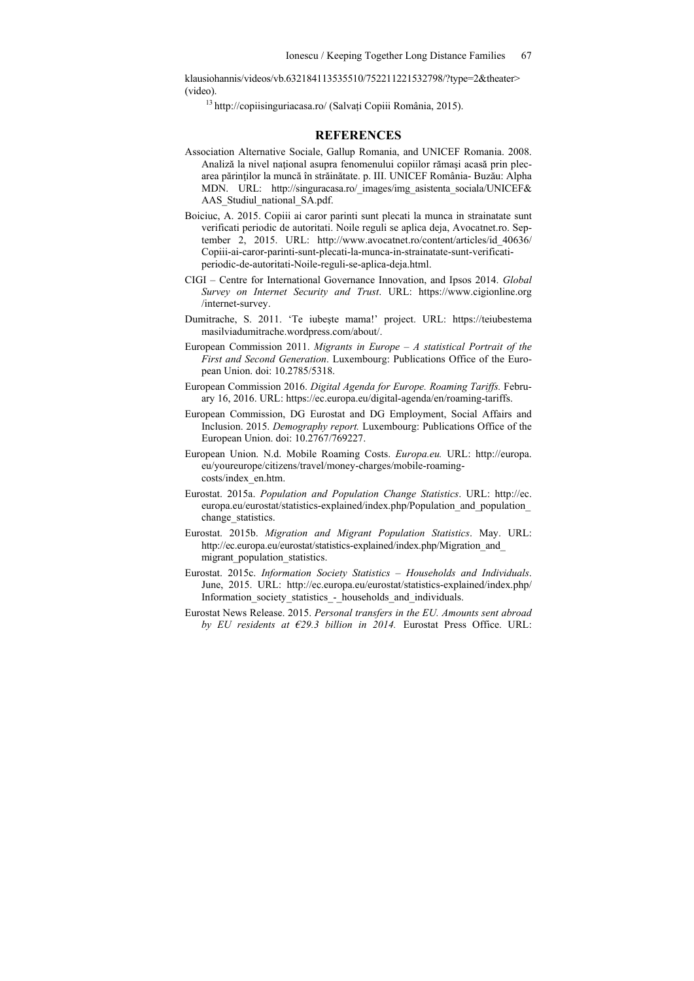klausiohannis/videos/vb.632184113535510/752211221532798/?type=2&theater> (video).

13 http://copiisinguriacasa.ro/ (Salvați Copiii România, 2015).

#### **REFERENCES**

- Association Alternative Sociale, Gallup Romania, and UNICEF Romania. 2008. Analiză la nivel naţional asupra fenomenului copiilor rămaşi acasă prin plecarea părinţilor la muncă în străinătate. p. III. UNICEF România- Buzău: Alpha MDN. URL: http://singuracasa.ro/\_images/img\_asistenta\_sociala/UNICEF& AAS\_Studiul\_national\_SA.pdf.
- Boiciuc, A. 2015. Copiii ai caror parinti sunt plecati la munca in strainatate sunt verificati periodic de autoritati. Noile reguli se aplica deja, Avocatnet.ro. September 2, 2015. URL: http://www.avocatnet.ro/content/articles/id\_40636/ Copiii-ai-caror-parinti-sunt-plecati-la-munca-in-strainatate-sunt-verificatiperiodic-de-autoritati-Noile-reguli-se-aplica-deja.html.
- CIGI Centre for International Governance Innovation, and Ipsos 2014. *Global Survey on Internet Security and Trust*. URL: https://www.cigionline.org /internet-survey.
- Dumitrache, S. 2011. 'Te iubeşte mama!' project. URL: https://teiubestema masilviadumitrache.wordpress.com/about/.
- European Commission 2011. *Migrants in Europe A statistical Portrait of the First and Second Generation*. Luxembourg: Publications Office of the European Union. doi: 10.2785/5318.
- European Commission 2016. *Digital Agenda for Europe. Roaming Tariffs.* February 16, 2016. URL: https://ec.europa.eu/digital-agenda/en/roaming-tariffs.
- European Commission, DG Eurostat and DG Employment, Social Affairs and Inclusion. 2015. *Demography report.* Luxembourg: Publications Office of the European Union. doi: 10.2767/769227.
- European Union. N.d. Mobile Roaming Costs. *Europa.eu.* URL: http://europa. eu/youreurope/citizens/travel/money-charges/mobile-roamingcosts/index\_en.htm.
- Eurostat. 2015a. *Population and Population Change Statistics*. URL: http://ec. europa.eu/eurostat/statistics-explained/index.php/Population\_and\_population\_ change\_statistics.
- Eurostat. 2015b. *Migration and Migrant Population Statistics*. May. URL: http://ec.europa.eu/eurostat/statistics-explained/index.php/Migration\_and\_ migrant population statistics.
- Eurostat. 2015c. *Information Society Statistics Households and Individuals*. June, 2015. URL: http://ec.europa.eu/eurostat/statistics-explained/index.php/ Information society statistics - households and individuals.
- Eurostat News Release. 2015. *Personal transfers in the EU. Amounts sent abroad by EU residents at €29.3 billion in 2014.* Eurostat Press Office. URL: